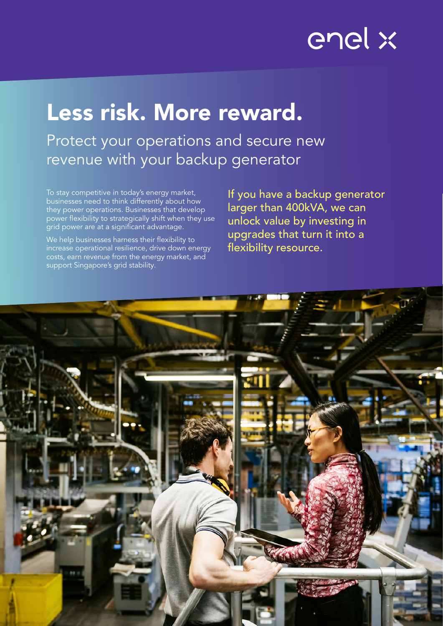# enel x

# Less risk. More reward.

Protect your operations and secure new revenue with your backup generator

To stay competitive in today's energy market, businesses need to think differently about how they power operations. Businesses that develop power flexibility to strategically shift when they use grid power are at a significant advantage.

We help businesses harness their flexibility to increase operational resilience, drive down energy costs, earn revenue from the energy market, and support Singapore's grid stability.

If you have a backup generator larger than 400kVA, we can unlock value by investing in upgrades that turn it into a flexibility resource.

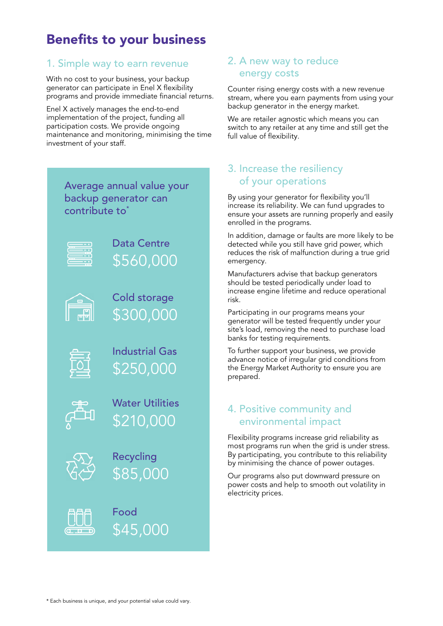# Benefits to your business

### 1. Simple way to earn revenue

With no cost to your business, your backup generator can participate in Enel X flexibility programs and provide immediate financial returns.

Enel X actively manages the end-to-end implementation of the project, funding all participation costs. We provide ongoing maintenance and monitoring, minimising the time investment of your staff.

| Average annual value your<br>backup generator can<br>contribute to* |                                     |
|---------------------------------------------------------------------|-------------------------------------|
|                                                                     | Data Centre<br>\$560,000            |
| f.                                                                  | <b>Cold storage</b><br>\$300,000    |
| 尀                                                                   | <b>Industrial Gas</b><br>\$250,000  |
| ر<br>سائی                                                           | <b>Water Utilities</b><br>\$210,000 |
|                                                                     | Recycling<br>\$85,000               |



### 2. A new way to reduce energy costs

Counter rising energy costs with a new revenue stream, where you earn payments from using your backup generator in the energy market.

We are retailer agnostic which means you can switch to any retailer at any time and still get the full value of flexibility.

### 3. Increase the resiliency of your operations

By using your generator for flexibility you'll increase its reliability. We can fund upgrades to ensure your assets are running properly and easily enrolled in the programs.

In addition, damage or faults are more likely to be detected while you still have grid power, which reduces the risk of malfunction during a true grid emergency.

Manufacturers advise that backup generators should be tested periodically under load to increase engine lifetime and reduce operational risk.

Participating in our programs means your generator will be tested frequently under your site's load, removing the need to purchase load banks for testing requirements.

To further support your business, we provide advance notice of irregular grid conditions from the Energy Market Authority to ensure you are prepared.

## 4. Positive community and environmental impact

Flexibility programs increase grid reliability as most programs run when the grid is under stress. By participating, you contribute to this reliability by minimising the chance of power outages.

Our programs also put downward pressure on power costs and help to smooth out volatility in electricity prices.

Food

\$45,000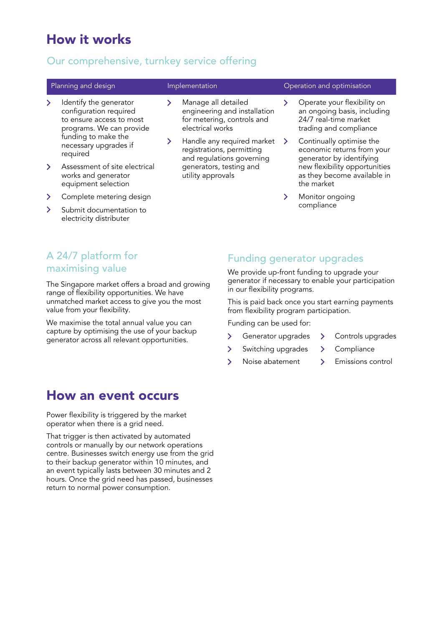# How it works

### Our comprehensive, turnkey service offering

- 
- $\angle$  Identify the generator configuration required to ensure access to most programs. We can provide funding to make the necessary upgrades if required
- > Assessment of site electrical works and generator equipment selection
- > Complete metering design
- $\sum$  Submit documentation to electricity distributer
- $\rightarrow$ Manage all detailed engineering and installation for metering, controls and electrical works
- > Handle any required market registrations, permitting and regulations governing generators, testing and utility approvals

### Planning and design **Implementation** Implementation **Operation** and optimisation

- Operate your flexibility on  $\rightarrow$ an ongoing basis, including 24/7 real-time market trading and compliance
- > Continually optimise the economic returns from your generator by identifying new flexibility opportunities as they become available in the market
- > Monitor ongoing compliance

# A 24/7 platform for maximising value

The Singapore market offers a broad and growing range of flexibility opportunities. We have unmatched market access to give you the most value from your flexibility.

We maximise the total annual value you can capture by optimising the use of your backup generator across all relevant opportunities.

# How an event occurs

Power flexibility is triggered by the market operator when there is a grid need.

That trigger is then activated by automated controls or manually by our network operations centre. Businesses switch energy use from the grid to their backup generator within 10 minutes, and an event typically lasts between 30 minutes and 2 hours. Once the grid need has passed, businesses return to normal power consumption.

### Funding generator upgrades

We provide up-front funding to upgrade your generator if necessary to enable your participation in our flexibility programs.

This is paid back once you start earning payments from flexibility program participation.

Funding can be used for:

- > Generator upgrades > Controls upgrades
	-
	-
- > Switching upgrades > Compliance
- > Noise abatement > Emissions control
	-